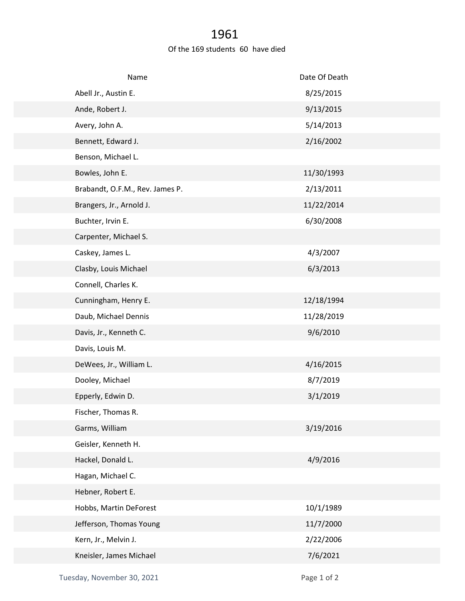## 1961

## Of the 169 students 60 have died

| Name                            | Date Of Death |
|---------------------------------|---------------|
| Abell Jr., Austin E.            | 8/25/2015     |
| Ande, Robert J.                 | 9/13/2015     |
| Avery, John A.                  | 5/14/2013     |
| Bennett, Edward J.              | 2/16/2002     |
| Benson, Michael L.              |               |
| Bowles, John E.                 | 11/30/1993    |
| Brabandt, O.F.M., Rev. James P. | 2/13/2011     |
| Brangers, Jr., Arnold J.        | 11/22/2014    |
| Buchter, Irvin E.               | 6/30/2008     |
| Carpenter, Michael S.           |               |
| Caskey, James L.                | 4/3/2007      |
| Clasby, Louis Michael           | 6/3/2013      |
| Connell, Charles K.             |               |
| Cunningham, Henry E.            | 12/18/1994    |
| Daub, Michael Dennis            | 11/28/2019    |
| Davis, Jr., Kenneth C.          | 9/6/2010      |
| Davis, Louis M.                 |               |
| DeWees, Jr., William L.         | 4/16/2015     |
| Dooley, Michael                 | 8/7/2019      |
| Epperly, Edwin D.               | 3/1/2019      |
| Fischer, Thomas R.              |               |
| Garms, William                  | 3/19/2016     |
| Geisler, Kenneth H.             |               |
| Hackel, Donald L.               | 4/9/2016      |
| Hagan, Michael C.               |               |
| Hebner, Robert E.               |               |
| Hobbs, Martin DeForest          | 10/1/1989     |
| Jefferson, Thomas Young         | 11/7/2000     |
| Kern, Jr., Melvin J.            | 2/22/2006     |
| Kneisler, James Michael         | 7/6/2021      |
|                                 |               |

Tuesday, November 30, 2021 and the contract of 2